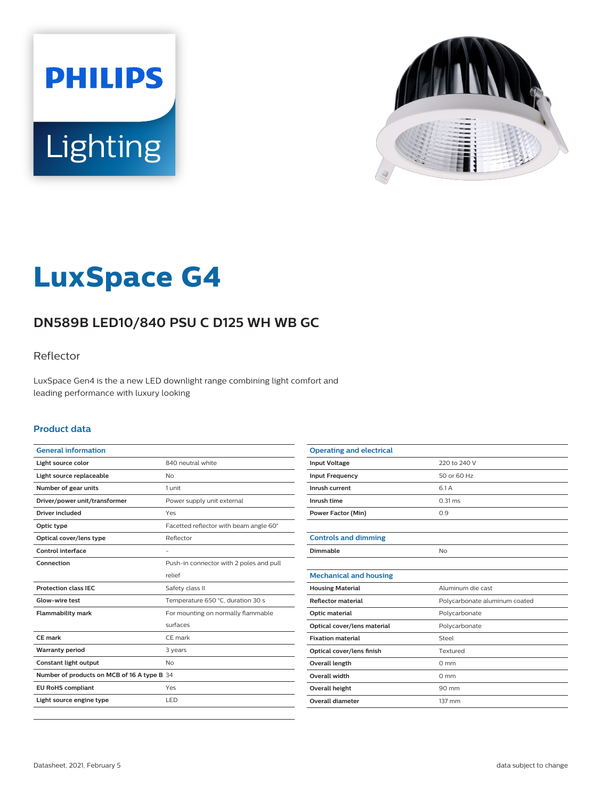



# **LuxSpace G4**

# **DN589B LED10/840 PSU C D125 WH WB GC**

### Reflector

LuxSpace Gen4 is the a new LED downlight range combining light comfort and leading performance with luxury looking

#### **Product data**

| <b>General information</b>                  |                                         |
|---------------------------------------------|-----------------------------------------|
| Light source color                          | 840 neutral white                       |
| Light source replaceable                    | <b>No</b>                               |
| Number of gear units                        | 1 unit                                  |
| Driver/power unit/transformer               | Power supply unit external              |
| Driver included                             | Yes                                     |
| Optic type                                  | Facetted reflector with beam angle 60°  |
| Optical cover/lens type                     | Reflector                               |
| Control interface                           |                                         |
| Connection                                  | Push-in connector with 2 poles and pull |
|                                             | relief                                  |
| <b>Protection class IEC</b>                 | Safety class II                         |
| Glow-wire test                              | Temperature 650 °C, duration 30 s       |
| <b>Flammability mark</b>                    | For mounting on normally flammable      |
|                                             | surfaces                                |
| <b>CE</b> mark                              | CE mark                                 |
| <b>Warranty period</b>                      | 3 years                                 |
| Constant light output                       | <b>No</b>                               |
| Number of products on MCB of 16 A type B 34 |                                         |
| <b>EU RoHS compliant</b>                    | Yes                                     |
| Light source engine type                    | LED                                     |
|                                             |                                         |

| <b>Operating and electrical</b> |                               |
|---------------------------------|-------------------------------|
| <b>Input Voltage</b>            | 220 to 240 V                  |
| <b>Input Frequency</b>          | 50 or 60 Hz                   |
| Inrush current                  | 6.1 A                         |
| Inrush time                     | $0.31$ ms                     |
| <b>Power Factor (Min)</b>       | 0.9                           |
|                                 |                               |
| <b>Controls and dimming</b>     |                               |
| Dimmable                        | No                            |
|                                 |                               |
| <b>Mechanical and housing</b>   |                               |
| <b>Housing Material</b>         | Aluminum die cast             |
| <b>Reflector material</b>       | Polycarbonate aluminum coated |
| Optic material                  | Polycarbonate                 |
| Optical cover/lens material     | Polycarbonate                 |
| <b>Fixation material</b>        | Steel                         |
| Optical cover/lens finish       | Textured                      |
| <b>Overall length</b>           | $0 \text{ mm}$                |
| Overall width                   | $0 \text{ mm}$                |
| <b>Overall height</b>           | 90 mm                         |
| Overall diameter                | 137 mm                        |
|                                 |                               |